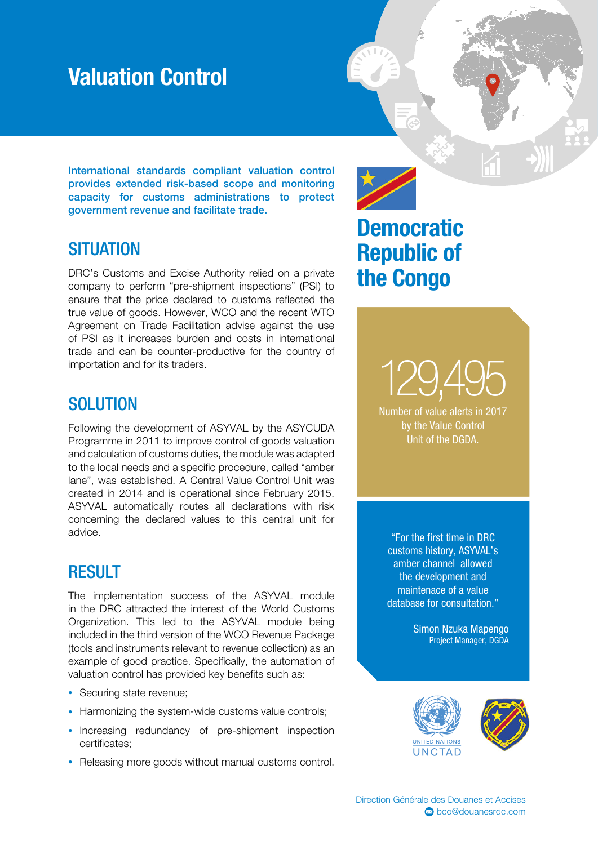## Valuation Control

International standards compliant valuation control provides extended risk-based scope and monitoring capacity for customs administrations to protect government revenue and facilitate trade.

#### **SITUATION**

DRC's Customs and Excise Authority relied on a private company to perform "pre-shipment inspections" (PSI) to ensure that the price declared to customs reflected the true value of goods. However, WCO and the recent WTO Agreement on Trade Facilitation advise against the use of PSI as it increases burden and costs in international trade and can be counter-productive for the country of importation and for its traders.

#### **SOLUTION**

Following the development of ASYVAL by the ASYCUDA Programme in 2011 to improve control of goods valuation and calculation of customs duties, the module was adapted to the local needs and a specific procedure, called "amber lane", was established. A Central Value Control Unit was created in 2014 and is operational since February 2015. ASYVAL automatically routes all declarations with risk concerning the declared values to this central unit for advice.

### **RESULT**

The implementation success of the ASYVAL module in the DRC attracted the interest of the World Customs Organization. This led to the ASYVAL module being included in the third version of the WCO Revenue Package (tools and instruments relevant to revenue collection) as an example of good practice. Specifically, the automation of valuation control has provided key benefits such as:

- Securing state revenue;
- Harmonizing the system-wide customs value controls;
- Increasing redundancy of pre-shipment inspection certificates;
- Releasing more goods without manual customs control.



## **Democratic** Republic of the Congo

129,495 Number of value alerts in 2017 by the Value Control

Unit of the DGDA.

"For the first time in DRC customs history, ASYVAL's amber channel allowed the development and maintenace of a value database for consultation."

> Simon Nzuka Mapengo Project Manager, DGDA